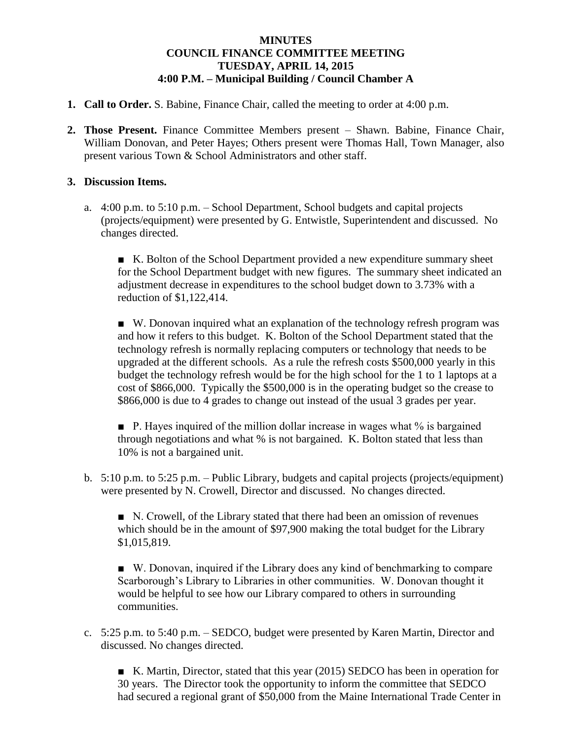## **MINUTES COUNCIL FINANCE COMMITTEE MEETING TUESDAY, APRIL 14, 2015 4:00 P.M. – Municipal Building / Council Chamber A**

- **1. Call to Order.** S. Babine, Finance Chair, called the meeting to order at 4:00 p.m.
- **2. Those Present.** Finance Committee Members present Shawn. Babine, Finance Chair, William Donovan, and Peter Hayes; Others present were Thomas Hall, Town Manager, also present various Town & School Administrators and other staff.

## **3. Discussion Items.**

a. 4:00 p.m. to 5:10 p.m. – School Department, School budgets and capital projects (projects/equipment) were presented by G. Entwistle, Superintendent and discussed. No changes directed.

■ K. Bolton of the School Department provided a new expenditure summary sheet for the School Department budget with new figures. The summary sheet indicated an adjustment decrease in expenditures to the school budget down to 3.73% with a reduction of \$1,122,414.

■ W. Donovan inquired what an explanation of the technology refresh program was and how it refers to this budget. K. Bolton of the School Department stated that the technology refresh is normally replacing computers or technology that needs to be upgraded at the different schools. As a rule the refresh costs \$500,000 yearly in this budget the technology refresh would be for the high school for the 1 to 1 laptops at a cost of \$866,000. Typically the \$500,000 is in the operating budget so the crease to \$866,000 is due to 4 grades to change out instead of the usual 3 grades per year.

■ P. Hayes inquired of the million dollar increase in wages what % is bargained through negotiations and what % is not bargained. K. Bolton stated that less than 10% is not a bargained unit.

b. 5:10 p.m. to 5:25 p.m. – Public Library, budgets and capital projects (projects/equipment) were presented by N. Crowell, Director and discussed. No changes directed.

■ N. Crowell, of the Library stated that there had been an omission of revenues which should be in the amount of \$97,900 making the total budget for the Library \$1,015,819.

■ W. Donovan, inquired if the Library does any kind of benchmarking to compare Scarborough's Library to Libraries in other communities. W. Donovan thought it would be helpful to see how our Library compared to others in surrounding communities.

c. 5:25 p.m. to 5:40 p.m. – SEDCO, budget were presented by Karen Martin, Director and discussed. No changes directed.

■ K. Martin, Director, stated that this year (2015) SEDCO has been in operation for 30 years. The Director took the opportunity to inform the committee that SEDCO had secured a regional grant of \$50,000 from the Maine International Trade Center in